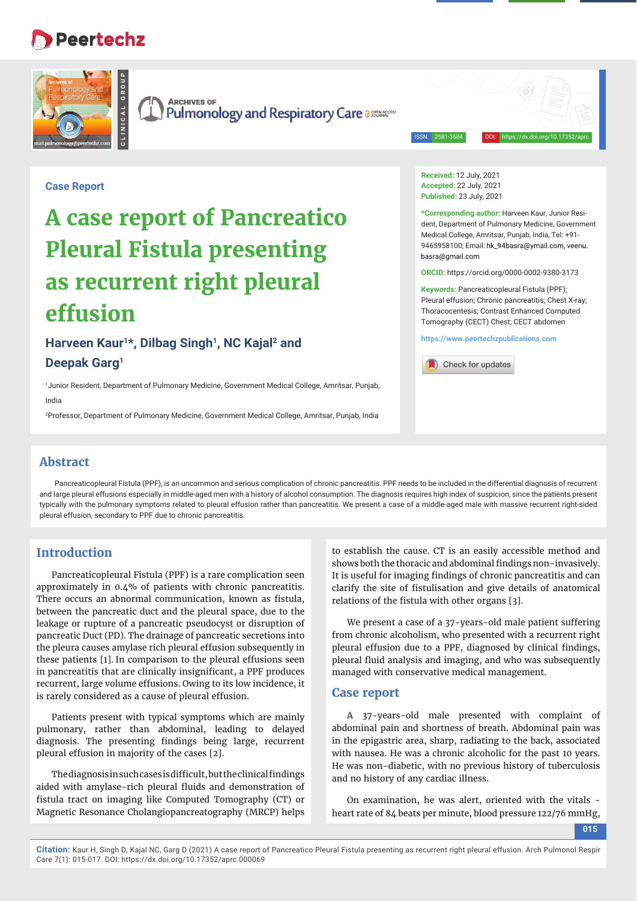## **Peertechz**

**CLINICAL GROUP**



**ARCHIVES OF Pulmonology and Respiratory Care assessed Burget** 

ISSN: 2581-3684 DOI: https://dx.doi.org/10.17352/aprc

**Case Report**

# **A case report of Pancreatico Pleural Fistula presenting as recurrent right pleural effusion**

Harveen Kaur<sup>1\*</sup>, Dilbag Singh<sup>1</sup>, NC Kajal<sup>2</sup> and **Deepak Garg1**

1 Junior Resident, Department of Pulmonary Medicine, Government Medical College, Amritsar, Punjab, India

2 Professor, Department of Pulmonary Medicine, Government Medical College, Amritsar, Punjab, India

**Received:** 12 July, 2021 **Accepted:** 22 July, 2021 **Published:** 23 July, 2021

**\*Corresponding author:** Harveen Kaur, Junior Resident, Department of Pulmonary Medicine, Government Medical College, Amritsar, Punjab, India, Tel: +91- 9465958100; Email: hk\_94basra@ymail.com, veenu. hasra@gmail.com

**ORCID:** https://orcid.org/0000-0002-9380-3173

**Keywords:** Pancreaticopleural Fistula (PPF); Pleural effusion; Chronic pancreatitis; Chest X-ray; Thoracocentesis; Contrast Enhanced Computed Tomography (CECT) Chest; CECT abdomen

**https://www.peertechzpublications.com**



#### **Abstract**

Pancreaticopleural Fistula (PPF), is an uncommon and serious complication of chronic pancreatitis. PPF needs to be included in the differential diagnosis of recurrent and large pleural effusions especially in middle-aged men with a history of alcohol consumption. The diagnosis requires high index of suspicion, since the patients present typically with the pulmonary symptoms related to pleural effusion rather than pancreatitis. We present a case of a middle-aged male with massive recurrent right-sided pleural effusion, secondary to PPF due to chronic pancreatitis.

### **Introduction**

Pancreaticopleural Fistula (PPF) is a rare complication seen approximately in 0.4% of patients with chronic pancreatitis. There occurs an abnormal communication, known as fistula, between the pancreatic duct and the pleural space, due to the leakage or rupture of a pancreatic pseudocyst or disruption of pancreatic Duct (PD). The drainage of pancreatic secretions into the pleura causes amylase rich pleural effusion subsequently in these patients [1]. In comparison to the pleural effusions seen in pancreatitis that are clinically insignificant, a PPF produces recurrent, large volume effusions. Owing to its low incidence, it is rarely considered as a cause of pleural effusion.

Patients present with typical symptoms which are mainly pulmonary, rather than abdominal, leading to delayed diagnosis. The presenting findings being large, recurrent pleural effusion in majority of the cases [2].

The diagnosis in such cases is difficult, but the clinical findings aided with amylase-rich pleural fluids and demonstration of fistula tract on imaging like Computed Tomography (CT) or Magnetic Resonance Cholangiopancreatography (MRCP) helps to establish the cause. CT is an easily accessible method and shows both the thoracic and abdominal findings non-invasively. It is useful for imaging findings of chronic pancreatitis and can clarify the site of fistulisation and give details of anatomical relations of the fistula with other organs [3].

We present a case of a 37-years-old male patient suffering from chronic alcoholism, who presented with a recurrent right pleural effusion due to a PPF, diagnosed by clinical findings, pleural fluid analysis and imaging, and who was subsequently managed with conservative medical management.

#### **Case report**

A 37-years-old male presented with complaint of abdominal pain and shortness of breath. Abdominal pain was in the epigastric area, sharp, radiating to the back, associated with nausea. He was a chronic alcoholic for the past 10 years. He was non-diabetic, with no previous history of tuberculosis and no history of any cardiac illness.

On examination, he was alert, oriented with the vitals heart rate of 84 beats per minute, blood pressure 122/76 mmHg,

**015**

**Citation:** Kaur H, Singh D, Kajal NC, Garg D (2021) A case report of Pancreatico Pleural Fistula presenting as recurrent right pleural effusion. Arch Pulmonol Respir Care 7(1): 015-017. DOI: https://dx.doi.org/10.17352/aprc.000069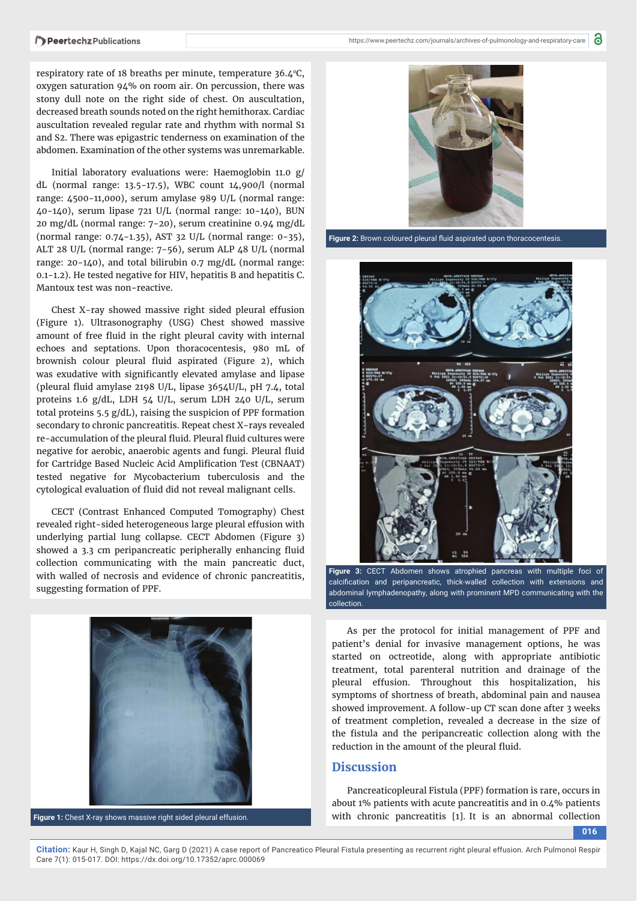respiratory rate of 18 breaths per minute, temperature  $36.4^{\circ}$ C, oxygen saturation 94% on room air. On percussion, there was stony dull note on the right side of chest. On auscultation, decreased breath sounds noted on the right hemithorax. Cardiac auscultation revealed regular rate and rhythm with normal S1 and S2. There was epigastric tenderness on examination of the abdomen. Examination of the other systems was unremarkable.

Initial laboratory evaluations were: Haemoglobin 11.0 g/ dL (normal range: 13.5-17.5), WBC count 14,900/l (normal range: 4500-11,000), serum amylase 989 U/L (normal range: 40-140), serum lipase 721 U/L (normal range: 10-140), BUN 20 mg/dL (normal range: 7-20), serum creatinine 0.94 mg/dL (normal range: 0.74-1.35), AST 32 U/L (normal range: 0-35), ALT 28 U/L (normal range: 7-56), serum ALP 48 U/L (normal range: 20-140), and total bilirubin 0.7 mg/dL (normal range: 0.1-1.2). He tested negative for HIV, hepatitis B and hepatitis C. Mantoux test was non-reactive.

Chest X-ray showed massive right sided pleural effusion (Figure 1). Ultrasonography (USG) Chest showed massive amount of free fluid in the right pleural cavity with internal echoes and septations. Upon thoracocentesis, 980 mL of brownish colour pleural fluid aspirated (Figure 2), which was exudative with significantly elevated amylase and lipase (pleural fluid amylase 2198 U/L, lipase  $3654$ U/L, pH 7.4, total proteins 1.6 g/dL, LDH 54 U/L, serum LDH 240 U/L, serum total proteins 5.5 g/dL), raising the suspicion of PPF formation secondary to chronic pancreatitis. Repeat chest X-rays revealed re-accumulation of the pleural fluid. Pleural fluid cultures were negative for aerobic, anaerobic agents and fungi. Pleural fluid for Cartridge Based Nucleic Acid Amplification Test (CBNAAT) tested negative for Mycobacterium tuberculosis and the cytological evaluation of fluid did not reveal malignant cells.

CECT (Contrast Enhanced Computed Tomography) Chest revealed right-sided heterogeneous large pleural effusion with underlying partial lung collapse. CECT Abdomen (Figure 3) showed a 3.3 cm peripancreatic peripherally enhancing fluid collection communicating with the main pancreatic duct, with walled of necrosis and evidence of chronic pancreatitis, suggesting formation of PPF.





Figure 2: Brown coloured pleural fluid aspirated upon thoracocentesis.



**Figure 3:** CECT Abdomen shows atrophied pancreas with multiple foci of calcification and peripancreatic, thick-walled collection with extensions and abdominal lymphadenopathy, along with prominent MPD communicating with the collection.

As per the protocol for initial management of PPF and patient's denial for invasive management options, he was started on octreotide, along with appropriate antibiotic treatment, total parenteral nutrition and drainage of the pleural effusion. Throughout this hospitalization, his symptoms of shortness of breath, abdominal pain and nausea showed improvement. A follow-up CT scan done after 3 weeks of treatment completion, revealed a decrease in the size of the fistula and the peripancreatic collection along with the reduction in the amount of the pleural fluid.

#### **Discussion**

Pancreaticopleural Fistula (PPF) formation is rare, occurs in about 1% patients with acute pancreatitis and in 0.4% patients **Figure 1:** Chest X-ray shows massive right sided pleural effusion. **with chronic pancreatitis** [1]. It is an abnormal collection

**016**

**Citation:** Kaur H, Singh D, Kajal NC, Garg D (2021) A case report of Pancreatico Pleural Fistula presenting as recurrent right pleural effusion. Arch Pulmonol Respir Care 7(1): 015-017. DOI: https://dx.doi.org/10.17352/aprc.000069